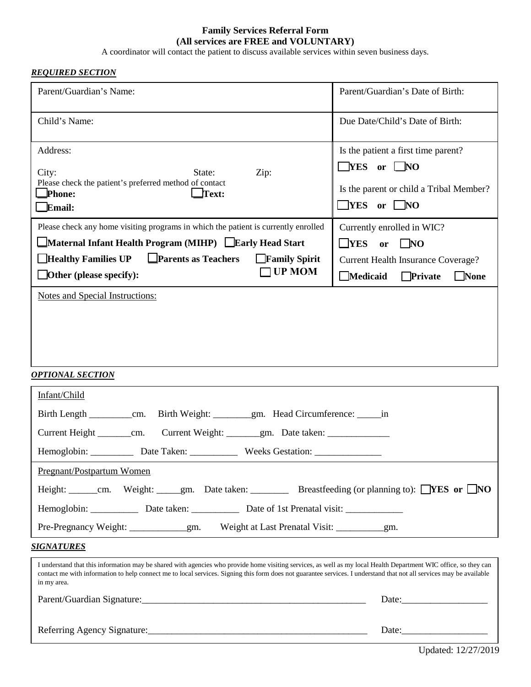#### **Family Services Referral Form (All services are FREE and VOLUNTARY)**

A coordinator will contact the patient to discuss available services within seven business days.

#### *REQUIRED SECTION*

| Parent/Guardian's Name:                                                                                                                                                                                                                                                                                                                                 | Parent/Guardian's Date of Birth:                 |
|---------------------------------------------------------------------------------------------------------------------------------------------------------------------------------------------------------------------------------------------------------------------------------------------------------------------------------------------------------|--------------------------------------------------|
| Child's Name:                                                                                                                                                                                                                                                                                                                                           | Due Date/Child's Date of Birth:                  |
| Address:                                                                                                                                                                                                                                                                                                                                                | Is the patient a first time parent?              |
| City:<br>Zip:<br>State:                                                                                                                                                                                                                                                                                                                                 | $\Box$ YES or $\Box$ NO                          |
| Please check the patient's preferred method of contact<br>Phone:<br>Text:                                                                                                                                                                                                                                                                               | Is the parent or child a Tribal Member?          |
| $E$ mail:                                                                                                                                                                                                                                                                                                                                               | $\Box$ YES or $\Box$ NO                          |
| Please check any home visiting programs in which the patient is currently enrolled                                                                                                                                                                                                                                                                      | Currently enrolled in WIC?                       |
| Maternal Infant Health Program (MIHP) Early Head Start                                                                                                                                                                                                                                                                                                  | $\Box$ YES<br>$\square$ NO<br>or                 |
| <b>Healthy Families UP</b><br>$\Box$ Parents as Teachers<br>Family Spirit                                                                                                                                                                                                                                                                               | <b>Current Health Insurance Coverage?</b>        |
| <b>UP MOM</b><br>$\Box$ Other (please specify):                                                                                                                                                                                                                                                                                                         | $\Box$ Medicaid<br>$\Box$ None<br><b>Private</b> |
| Notes and Special Instructions:                                                                                                                                                                                                                                                                                                                         |                                                  |
|                                                                                                                                                                                                                                                                                                                                                         |                                                  |
|                                                                                                                                                                                                                                                                                                                                                         |                                                  |
|                                                                                                                                                                                                                                                                                                                                                         |                                                  |
|                                                                                                                                                                                                                                                                                                                                                         |                                                  |
| <u>OPTIONAL SECTION</u>                                                                                                                                                                                                                                                                                                                                 |                                                  |
| Infant/Child                                                                                                                                                                                                                                                                                                                                            |                                                  |
| Birth Weight: __________gm. Head Circumference: _______in                                                                                                                                                                                                                                                                                               |                                                  |
|                                                                                                                                                                                                                                                                                                                                                         |                                                  |
| Hemoglobin: ____________ Date Taken: ______________ Weeks Gestation: _______________________________                                                                                                                                                                                                                                                    |                                                  |
| Pregnant/Postpartum Women                                                                                                                                                                                                                                                                                                                               |                                                  |
| Height: ______cm. Weight: _____gm. Date taken: __________ Breastfeeding (or planning to): _YES or _NO                                                                                                                                                                                                                                                   |                                                  |
|                                                                                                                                                                                                                                                                                                                                                         |                                                  |
|                                                                                                                                                                                                                                                                                                                                                         |                                                  |
| <u>SIGNATURES</u>                                                                                                                                                                                                                                                                                                                                       |                                                  |
| I understand that this information may be shared with agencies who provide home visiting services, as well as my local Health Department WIC office, so they can<br>contact me with information to help connect me to local services. Signing this form does not guarantee services. I understand that not all services may be available<br>in my area. |                                                  |
|                                                                                                                                                                                                                                                                                                                                                         |                                                  |
|                                                                                                                                                                                                                                                                                                                                                         |                                                  |
| Referring Agency Signature: 1990 and 200 million and 200 million and 200 million and 200 million and 200 million and 200 million and 200 million and 200 million and 200 million and 200 million and 200 million and 200 milli                                                                                                                          |                                                  |